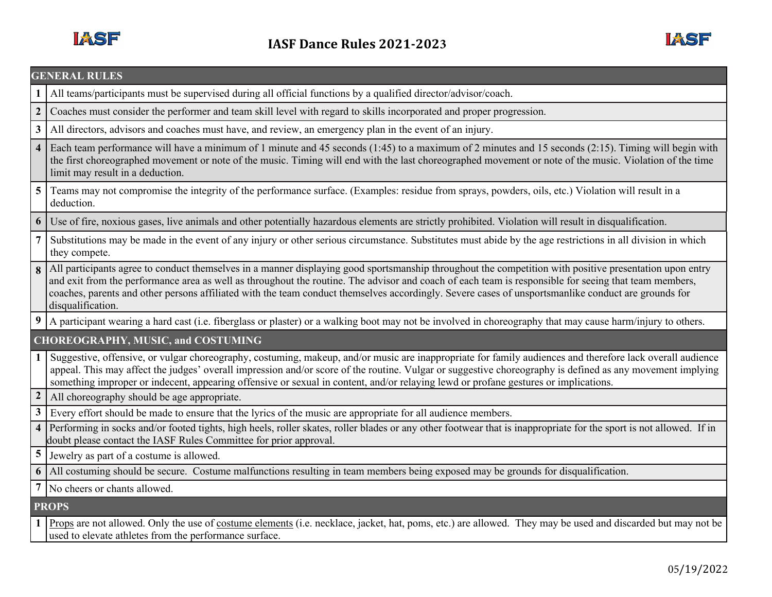

|                                           | <b>GENERAL RULES</b>                                                                                                                                                                                                                                                                                                                                                                                                                                                                           |  |  |
|-------------------------------------------|------------------------------------------------------------------------------------------------------------------------------------------------------------------------------------------------------------------------------------------------------------------------------------------------------------------------------------------------------------------------------------------------------------------------------------------------------------------------------------------------|--|--|
|                                           | All teams/participants must be supervised during all official functions by a qualified director/advisor/coach.                                                                                                                                                                                                                                                                                                                                                                                 |  |  |
| $\overline{2}$                            | Coaches must consider the performer and team skill level with regard to skills incorporated and proper progression.                                                                                                                                                                                                                                                                                                                                                                            |  |  |
| $\overline{\mathbf{3}}$                   | All directors, advisors and coaches must have, and review, an emergency plan in the event of an injury.                                                                                                                                                                                                                                                                                                                                                                                        |  |  |
| $\overline{\mathbf{4}}$                   | Each team performance will have a minimum of 1 minute and 45 seconds (1:45) to a maximum of 2 minutes and 15 seconds (2:15). Timing will begin with<br>the first choreographed movement or note of the music. Timing will end with the last choreographed movement or note of the music. Violation of the time<br>limit may result in a deduction.                                                                                                                                             |  |  |
| 5 <sup>5</sup>                            | Teams may not compromise the integrity of the performance surface. (Examples: residue from sprays, powders, oils, etc.) Violation will result in a<br>deduction.                                                                                                                                                                                                                                                                                                                               |  |  |
| 6                                         | Use of fire, noxious gases, live animals and other potentially hazardous elements are strictly prohibited. Violation will result in disqualification.                                                                                                                                                                                                                                                                                                                                          |  |  |
| 7                                         | Substitutions may be made in the event of any injury or other serious circumstance. Substitutes must abide by the age restrictions in all division in which<br>they compete.                                                                                                                                                                                                                                                                                                                   |  |  |
|                                           | 8 All participants agree to conduct themselves in a manner displaying good sportsmanship throughout the competition with positive presentation upon entry<br>and exit from the performance area as well as throughout the routine. The advisor and coach of each team is responsible for seeing that team members,<br>coaches, parents and other persons affiliated with the team conduct themselves accordingly. Severe cases of unsportsmanlike conduct are grounds for<br>disqualification. |  |  |
|                                           | 9 A participant wearing a hard cast (i.e. fiberglass or plaster) or a walking boot may not be involved in choreography that may cause harm/injury to others.                                                                                                                                                                                                                                                                                                                                   |  |  |
| <b>CHOREOGRAPHY, MUSIC, and COSTUMING</b> |                                                                                                                                                                                                                                                                                                                                                                                                                                                                                                |  |  |
| 1 I                                       | Suggestive, offensive, or vulgar choreography, costuming, makeup, and/or music are inappropriate for family audiences and therefore lack overall audience<br>appeal. This may affect the judges' overall impression and/or score of the routine. Vulgar or suggestive choreography is defined as any movement implying<br>something improper or indecent, appearing offensive or sexual in content, and/or relaying lewd or profane gestures or implications.                                  |  |  |
| $\boldsymbol{2}$                          | All choreography should be age appropriate.                                                                                                                                                                                                                                                                                                                                                                                                                                                    |  |  |
| 3 <sup>1</sup>                            | Every effort should be made to ensure that the lyrics of the music are appropriate for all audience members.                                                                                                                                                                                                                                                                                                                                                                                   |  |  |
|                                           | 4 Performing in socks and/or footed tights, high heels, roller skates, roller blades or any other footwear that is inappropriate for the sport is not allowed. If in<br>doubt please contact the IASF Rules Committee for prior approval.                                                                                                                                                                                                                                                      |  |  |
|                                           | 5 Jewelry as part of a costume is allowed.                                                                                                                                                                                                                                                                                                                                                                                                                                                     |  |  |
|                                           | 6 All costuming should be secure. Costume malfunctions resulting in team members being exposed may be grounds for disqualification.                                                                                                                                                                                                                                                                                                                                                            |  |  |
|                                           | No cheers or chants allowed.                                                                                                                                                                                                                                                                                                                                                                                                                                                                   |  |  |
| <b>PROPS</b>                              |                                                                                                                                                                                                                                                                                                                                                                                                                                                                                                |  |  |
|                                           | 1 Props are not allowed. Only the use of costume elements (i.e. necklace, jacket, hat, poms, etc.) are allowed. They may be used and discarded but may not be<br>used to elevate athletes from the performance surface.                                                                                                                                                                                                                                                                        |  |  |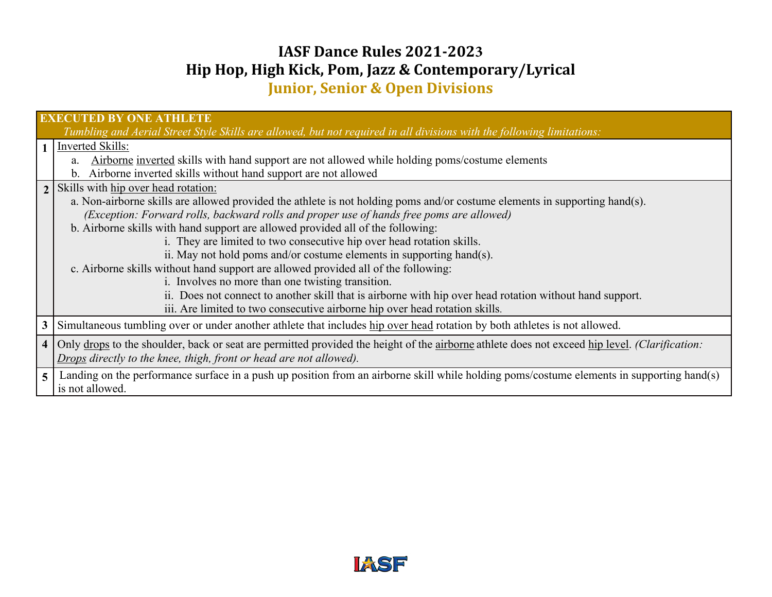## **IASF Dance Rules 2021-2023 Hip Hop, High Kick, Pom, Jazz & Contemporary/Lyrical**

**Junior, Senior & Open Divisions**

| <b>EXECUTED BY ONE ATHLETE</b><br>Tumbling and Aerial Street Style Skills are allowed, but not required in all divisions with the following limitations: |                                                                                                                                                 |  |
|----------------------------------------------------------------------------------------------------------------------------------------------------------|-------------------------------------------------------------------------------------------------------------------------------------------------|--|
|                                                                                                                                                          | Inverted Skills:                                                                                                                                |  |
|                                                                                                                                                          | Airborne inverted skills with hand support are not allowed while holding poms/costume elements<br>a.                                            |  |
|                                                                                                                                                          | Airborne inverted skills without hand support are not allowed<br>$\mathbf{b}$ .                                                                 |  |
|                                                                                                                                                          | 2   Skills with hip over head rotation:                                                                                                         |  |
|                                                                                                                                                          | a. Non-airborne skills are allowed provided the athlete is not holding poms and/or costume elements in supporting hand(s).                      |  |
|                                                                                                                                                          | (Exception: Forward rolls, backward rolls and proper use of hands free poms are allowed)                                                        |  |
|                                                                                                                                                          | b. Airborne skills with hand support are allowed provided all of the following:                                                                 |  |
|                                                                                                                                                          | i. They are limited to two consecutive hip over head rotation skills.                                                                           |  |
|                                                                                                                                                          | ii. May not hold poms and/or costume elements in supporting hand(s).                                                                            |  |
|                                                                                                                                                          | c. Airborne skills without hand support are allowed provided all of the following:                                                              |  |
|                                                                                                                                                          | i. Involves no more than one twisting transition.                                                                                               |  |
|                                                                                                                                                          | ii. Does not connect to another skill that is airborne with hip over head rotation without hand support.                                        |  |
|                                                                                                                                                          | iii. Are limited to two consecutive airborne hip over head rotation skills.                                                                     |  |
|                                                                                                                                                          | 3 Simultaneous tumbling over or under another athlete that includes hip over head rotation by both athletes is not allowed.                     |  |
|                                                                                                                                                          | 4 Only drops to the shoulder, back or seat are permitted provided the height of the airborne athlete does not exceed hip level. (Clarification: |  |
|                                                                                                                                                          | Drops directly to the knee, thigh, front or head are not allowed).                                                                              |  |
| 5 <sup>1</sup>                                                                                                                                           | Landing on the performance surface in a push up position from an airborne skill while holding poms/costume elements in supporting hand(s)       |  |
|                                                                                                                                                          | is not allowed.                                                                                                                                 |  |
|                                                                                                                                                          |                                                                                                                                                 |  |

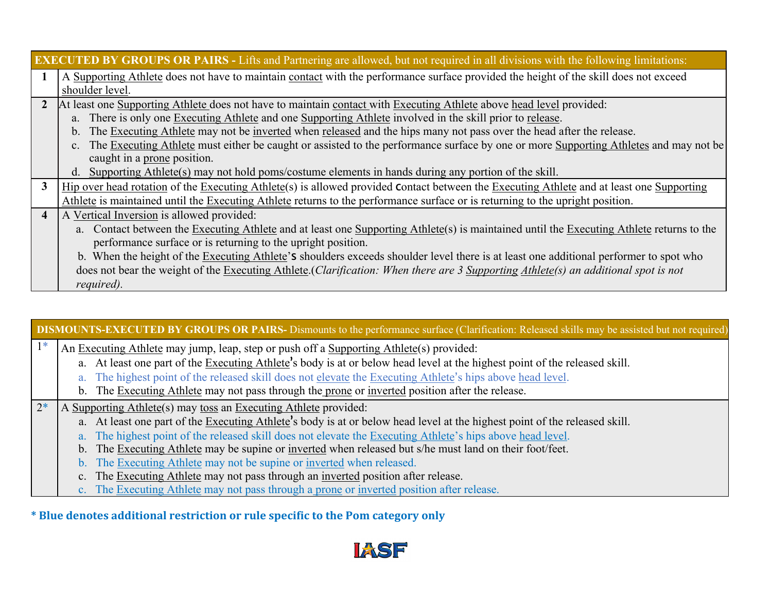| <b>EXECUTED BY GROUPS OR PAIRS - Lifts and Partnering are allowed, but not required in all divisions with the following limitations:</b> |                                                                                                                                          |  |
|------------------------------------------------------------------------------------------------------------------------------------------|------------------------------------------------------------------------------------------------------------------------------------------|--|
|                                                                                                                                          | A Supporting Athlete does not have to maintain contact with the performance surface provided the height of the skill does not exceed     |  |
|                                                                                                                                          | shoulder level.                                                                                                                          |  |
| $\overline{2}$                                                                                                                           | At least one Supporting Athlete does not have to maintain contact with Executing Athlete above head level provided:                      |  |
|                                                                                                                                          | a. There is only one Executing Athlete and one Supporting Athlete involved in the skill prior to release.                                |  |
|                                                                                                                                          | b. The Executing Athlete may not be inverted when released and the hips many not pass over the head after the release.                   |  |
|                                                                                                                                          | c. The Executing Athlete must either be caught or assisted to the performance surface by one or more Supporting Athletes and may not be  |  |
|                                                                                                                                          | caught in a prone position.                                                                                                              |  |
|                                                                                                                                          | Supporting Athlete(s) may not hold poms/costume elements in hands during any portion of the skill.<br>d.                                 |  |
| $\mathbf{3}$                                                                                                                             | Hip over head rotation of the Executing Athlete(s) is allowed provided Contact between the Executing Athlete and at least one Supporting |  |
|                                                                                                                                          | Athlete is maintained until the Executing Athlete returns to the performance surface or is returning to the upright position.            |  |
| $\overline{4}$                                                                                                                           | A Vertical Inversion is allowed provided:                                                                                                |  |
|                                                                                                                                          | a. Contact between the Executing Athlete and at least one Supporting Athlete(s) is maintained until the Executing Athlete returns to the |  |
|                                                                                                                                          | performance surface or is returning to the upright position.                                                                             |  |
|                                                                                                                                          | b. When the height of the Executing Athlete's shoulders exceeds shoulder level there is at least one additional performer to spot who    |  |
|                                                                                                                                          | does not bear the weight of the Executing Athlete. (Clarification: When there are 3 Supporting Athlete(s) an additional spot is not      |  |
|                                                                                                                                          | required).                                                                                                                               |  |

## **DISMOUNTS-EXECUTED BY GROUPS OR PAIRS-** Dismounts to the performance surface (Clarification: Released skills may be assisted but not required):

- $1^*$  An Executing Athlete may jump, leap, step or push off a Supporting Athlete(s) provided:
	- a. At least one part of the Executing Athlete's body is at or below head level at the highest point of the released skill.
	- a. The highest point of the released skill does not elevate the Executing Athlete's hips above head level.
	- b. The Executing Athlete may not pass through the prone or inverted position after the release.
- $2^*$  A Supporting Athlete(s) may toss an Executing Athlete provided:
	- a. At least one part of the Executing Athlete's body is at or below head level at the highest point of the released skill.
	- a. The highest point of the released skill does not elevate the Executing Athlete's hips above head level.
	- b. The Executing Athlete may be supine or inverted when released but s/he must land on their foot/feet.
	- b. The Executing Athlete may not be supine or inverted when released.
	- c. The Executing Athlete may not pass through an inverted position after release.
	- c. The Executing Athlete may not pass through a prone or inverted position after release.

**\* Blue denotes additional restriction or rule specific to the Pom category only**

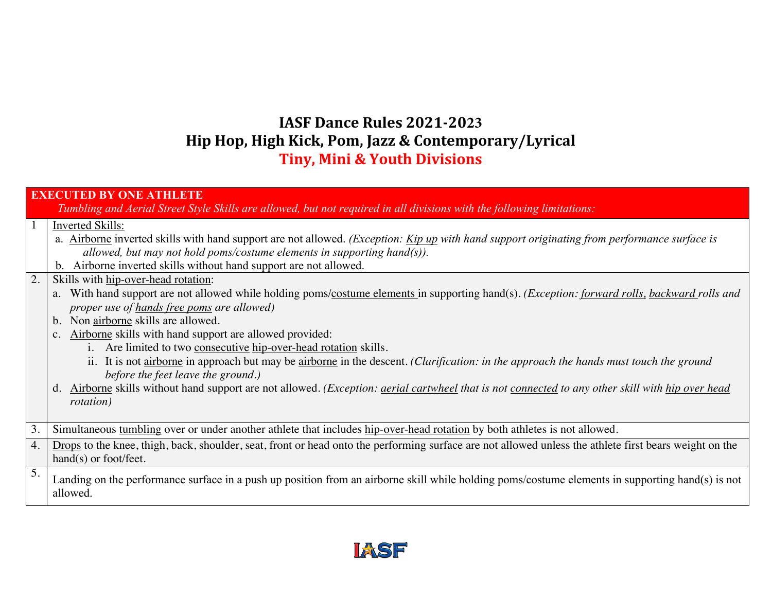## **IASF Dance Rules 2021-2023 Hip Hop, High Kick, Pom, Jazz & Contemporary/Lyrical Tiny, Mini & Youth Divisions**

|    | <b>EXECUTED BY ONE ATHLETE</b>                                                                                                                                                                                                                                                                                                                                                                                                                                                                                                                                                                                                                                                                                                                                                  |  |  |
|----|---------------------------------------------------------------------------------------------------------------------------------------------------------------------------------------------------------------------------------------------------------------------------------------------------------------------------------------------------------------------------------------------------------------------------------------------------------------------------------------------------------------------------------------------------------------------------------------------------------------------------------------------------------------------------------------------------------------------------------------------------------------------------------|--|--|
|    | Tumbling and Aerial Street Style Skills are allowed, but not required in all divisions with the following limitations:                                                                                                                                                                                                                                                                                                                                                                                                                                                                                                                                                                                                                                                          |  |  |
|    | <b>Inverted Skills:</b><br>a. Airborne inverted skills with hand support are not allowed. (Exception: Kip up with hand support originating from performance surface is<br>allowed, but may not hold poms/costume elements in supporting hand $(s)$ ).<br>b. Airborne inverted skills without hand support are not allowed.                                                                                                                                                                                                                                                                                                                                                                                                                                                      |  |  |
| 2. | Skills with hip-over-head rotation:<br>With hand support are not allowed while holding poms/costume elements in supporting hand(s). (Exception: forward rolls, backward rolls and<br>a.<br>proper use of hands free poms are allowed)<br>b. Non airborne skills are allowed.<br>c. Airborne skills with hand support are allowed provided:<br>i. Are limited to two consecutive hip-over-head rotation skills.<br>ii. It is not airborne in approach but may be airborne in the descent. (Clarification: in the approach the hands must touch the ground<br>before the feet leave the ground.)<br>d. Airborne skills without hand support are not allowed. (Exception: <i>aerial cartwheel that is not connected to any other skill with hip over head</i><br><i>rotation</i> ) |  |  |
| 3. | Simultaneous tumbling over or under another athlete that includes hip-over-head rotation by both athletes is not allowed.                                                                                                                                                                                                                                                                                                                                                                                                                                                                                                                                                                                                                                                       |  |  |
| 4. | Drops to the knee, thigh, back, shoulder, seat, front or head onto the performing surface are not allowed unless the athlete first bears weight on the<br>$hand(s)$ or foot/feet.                                                                                                                                                                                                                                                                                                                                                                                                                                                                                                                                                                                               |  |  |
| 5. | Landing on the performance surface in a push up position from an airborne skill while holding poms/costume elements in supporting hand(s) is not<br>allowed.                                                                                                                                                                                                                                                                                                                                                                                                                                                                                                                                                                                                                    |  |  |

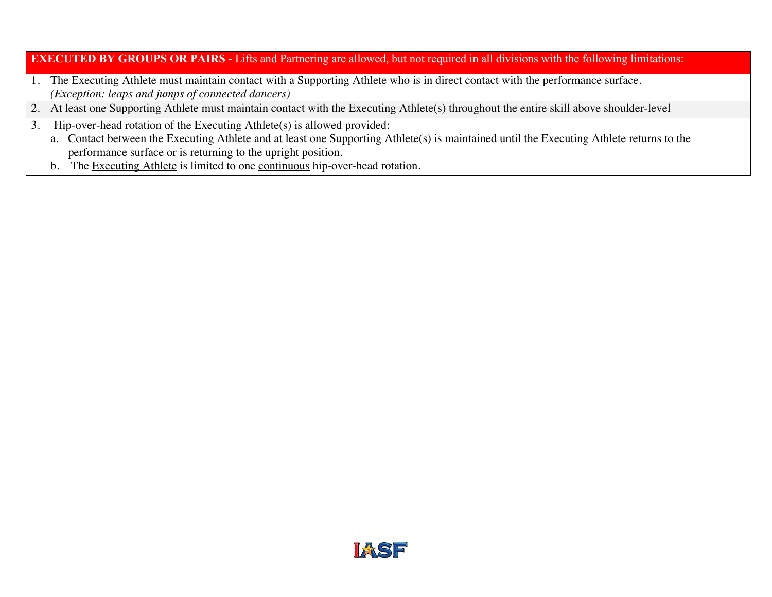| <b>EXECUTED BY GROUPS OR PAIRS</b> - Lifts and Partnering are allowed, but not required in all divisions with the following limitations: |                                                                                                                                             |  |
|------------------------------------------------------------------------------------------------------------------------------------------|---------------------------------------------------------------------------------------------------------------------------------------------|--|
|                                                                                                                                          | The Executing Athlete must maintain contact with a Supporting Athlete who is in direct contact with the performance surface.                |  |
|                                                                                                                                          | (Exception: leaps and jumps of connected dancers)                                                                                           |  |
|                                                                                                                                          | At least one Supporting Athlete must maintain contact with the Executing Athlete(s) throughout the entire skill above shoulder-level        |  |
| 3.                                                                                                                                       | Hip-over-head rotation of the Executing Athlete(s) is allowed provided:                                                                     |  |
|                                                                                                                                          | Contact between the Executing Athlete and at least one Supporting Athlete(s) is maintained until the Executing Athlete returns to the<br>a. |  |
|                                                                                                                                          | performance surface or is returning to the upright position.                                                                                |  |
|                                                                                                                                          | The Executing Athlete is limited to one continuous hip-over-head rotation.<br>$\mathbf{b}$ .                                                |  |